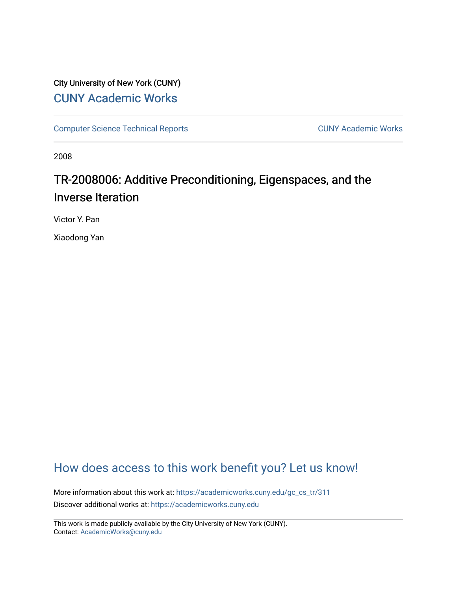## City University of New York (CUNY) [CUNY Academic Works](https://academicworks.cuny.edu/)

[Computer Science Technical Reports](https://academicworks.cuny.edu/gc_cs_tr) **CUNY Academic Works** CUNY Academic Works

2008

# TR-2008006: Additive Preconditioning, Eigenspaces, and the Inverse Iteration

Victor Y. Pan

Xiaodong Yan

# [How does access to this work benefit you? Let us know!](http://ols.cuny.edu/academicworks/?ref=https://academicworks.cuny.edu/gc_cs_tr/311)

More information about this work at: [https://academicworks.cuny.edu/gc\\_cs\\_tr/311](https://academicworks.cuny.edu/gc_cs_tr/311)  Discover additional works at: [https://academicworks.cuny.edu](https://academicworks.cuny.edu/?)

This work is made publicly available by the City University of New York (CUNY). Contact: [AcademicWorks@cuny.edu](mailto:AcademicWorks@cuny.edu)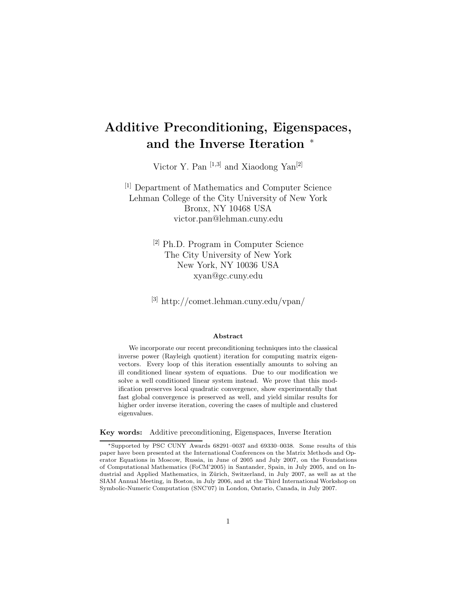# **Additive Preconditioning, Eigenspaces, and the Inverse Iteration** <sup>∗</sup>

Victor Y. Pan [1*,*3] and Xiaodong Yan[2]

[1] Department of Mathematics and Computer Science Lehman College of the City University of New York Bronx, NY 10468 USA victor.pan@lehman.cuny.edu

> [2] Ph.D. Program in Computer Science The City University of New York New York, NY 10036 USA xyan@gc.cuny.edu

[3] http://comet.lehman.cuny.edu/vpan/

#### **Abstract**

We incorporate our recent preconditioning techniques into the classical inverse power (Rayleigh quotient) iteration for computing matrix eigenvectors. Every loop of this iteration essentially amounts to solving an ill conditioned linear system of equations. Due to our modification we solve a well conditioned linear system instead. We prove that this modification preserves local quadratic convergence, show experimentally that fast global convergence is preserved as well, and yield similar results for higher order inverse iteration, covering the cases of multiple and clustered eigenvalues.

**Key words:** Additive preconditioning, Eigenspaces, Inverse Iteration

<sup>∗</sup>Supported by PSC CUNY Awards 68291–0037 and 69330–0038. Some results of this paper have been presented at the International Conferences on the Matrix Methods and Operator Equations in Moscow, Russia, in June of 2005 and July 2007, on the Foundations of Computational Mathematics (FoCM'2005) in Santander, Spain, in July 2005, and on Industrial and Applied Mathematics, in Zürich, Switzerland, in July 2007, as well as at the SIAM Annual Meeting, in Boston, in July 2006, and at the Third International Workshop on Symbolic-Numeric Computation (SNC'07) in London, Ontario, Canada, in July 2007.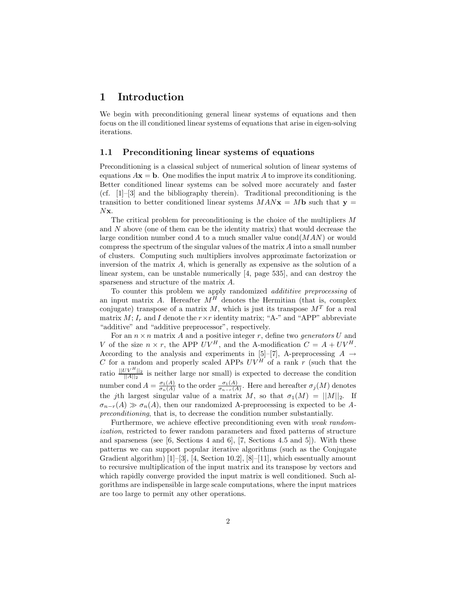## **1 Introduction**

We begin with preconditioning general linear systems of equations and then focus on the ill conditioned linear systems of equations that arise in eigen-solving iterations.

#### **1.1 Preconditioning linear systems of equations**

Preconditioning is a classical subject of numerical solution of linear systems of equations  $A$ **x** = **b**. One modifies the input matrix A to improve its conditioning. Better conditioned linear systems can be solved more accurately and faster (cf. [1]–[3] and the bibliography therein). Traditional preconditioning is the transition to better conditioned linear systems  $MAN**x** = M**b**$  such that **y** = N**x**.

The critical problem for preconditioning is the choice of the multipliers M and N above (one of them can be the identity matrix) that would decrease the large condition number cond A to a much smaller value  $\text{cond}(MAN)$  or would compress the spectrum of the singular values of the matrix A into a small number of clusters. Computing such multipliers involves approximate factorization or inversion of the matrix A, which is generally as expensive as the solution of a linear system, can be unstable numerically [4, page 535], and can destroy the sparseness and structure of the matrix A.

To counter this problem we apply randomized *addititive preprocessing* of an input matrix A. Hereafter  $M^H$  denotes the Hermitian (that is, complex conjugate) transpose of a matrix M, which is just its transpose  $M<sup>T</sup>$  for a real matrix  $M$ ;  $I_r$  and I denote the  $r \times r$  identity matrix; "A-" and "APP" abbreviate "additive" and "additive preprocessor", respectively.

For an  $n \times n$  matrix A and a positive integer r, define two *generators* U and V of the size  $n \times r$ , the APP  $UV^H$ , and the A-modification  $C = A + UV^H$ . According to the analysis and experiments in [5]–[7], A-preprocessing  $A \rightarrow$ C for a random and properly scaled APPs  $UV^H$  of a rank r (such that the ratio  $\frac{||UV^H||_2}{||A||_2}$  is neither large nor small) is expected to decrease the condition number cond  $A = \frac{\sigma_1(A)}{\sigma_n(A)}$  to the order  $\frac{\sigma_1(A)}{\sigma_{n-r}(A)}$ . Here and hereafter  $\sigma_j(M)$  denotes the jth largest singular value of a matrix M, so that  $\sigma_1(M) = ||M||_2$ . If  $\sigma_{n-r}(A) \gg \sigma_n(A)$ , then our randomized A-preprocessing is expected to be *Apreconditioning*, that is, to decrease the condition number substantially.

Furthermore, we achieve effective preconditioning even with *weak randomization*, restricted to fewer random parameters and fixed patterns of structure and sparseness (see  $[6, \text{Sections } 4 \text{ and } 6]$ ,  $[7, \text{ Sections } 4.5 \text{ and } 5]$ ). With these patterns we can support popular iterative algorithms (such as the Conjugate Gradient algorithm) [1]–[3], [4, Section 10.2], [8]–[11], which essentually amount to recursive multiplication of the input matrix and its transpose by vectors and which rapidly converge provided the input matrix is well conditioned. Such algorithms are indispensible in large scale computations, where the input matrices are too large to permit any other operations.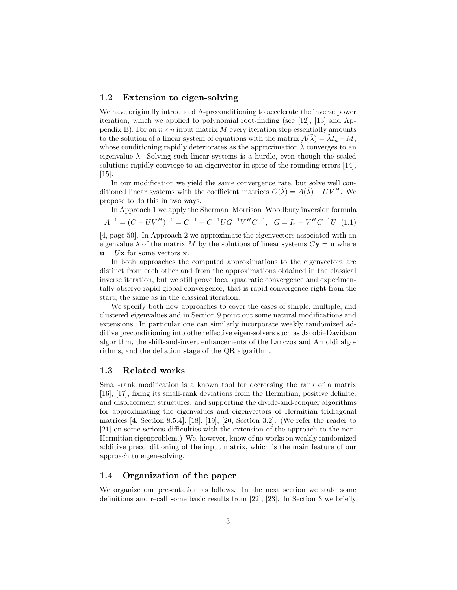#### **1.2 Extension to eigen-solving**

We have originally introduced A-preconditioning to accelerate the inverse power iteration, which we applied to polynomial root-finding (see [12], [13] and Appendix B). For an  $n \times n$  input matrix M every iteration step essentially amounts to the solution of a linear system of equations with the matrix  $A(\tilde{\lambda}) = \tilde{\lambda} I_n - M$ , whose conditioning rapidly deteriorates as the approximation  $\lambda$  converges to an eigenvalue  $\lambda$ . Solving such linear systems is a hurdle, even though the scaled solutions rapidly converge to an eigenvector in spite of the rounding errors [14], [15].

In our modification we yield the same convergence rate, but solve well conditioned linear systems with the coefficient matrices  $C(\tilde{\lambda}) = A(\tilde{\lambda}) + UV^H$ . We propose to do this in two ways.

In Approach 1 we apply the Sherman–Morrison–Woodbury inversion formula

$$
A^{-1} = (C - UV^H)^{-1} = C^{-1} + C^{-1} U G^{-1} V^H C^{-1}, \quad G = I_r - V^H C^{-1} U \tag{1.1}
$$

[4, page 50]. In Approach 2 we approximate the eigenvectors associated with an eigenvalue  $\lambda$  of the matrix M by the solutions of linear systems  $C$ **y** = **u** where  $\mathbf{u} = U\mathbf{x}$  for some vectors **x**.

In both approaches the computed approximations to the eigenvectors are distinct from each other and from the approximations obtained in the classical inverse iteration, but we still prove local quadratic convergence and experimentally observe rapid global convergence, that is rapid convergence right from the start, the same as in the classical iteration.

We specify both new approaches to cover the cases of simple, multiple, and clustered eigenvalues and in Section 9 point out some natural modifications and extensions. In particular one can similarly incorporate weakly randomized additive preconditioning into other effective eigen-solvers such as Jacobi–Davidson algorithm, the shift-and-invert enhancements of the Lanczos and Arnoldi algorithms, and the deflation stage of the QR algorithm.

#### **1.3 Related works**

Small-rank modification is a known tool for decreasing the rank of a matrix [16], [17], fixing its small-rank deviations from the Hermitian, positive definite, and displacement structures, and supporting the divide-and-conquer algorithms for approximating the eigenvalues and eigenvectors of Hermitian tridiagonal matrices  $[4, \text{ Section } 8.5.4], [18], [19], [20, \text{Section } 3.2].$  (We refer the reader to [21] on some serious difficulties with the extension of the approach to the non-Hermitian eigenproblem.) We, however, know of no works on weakly randomized additive preconditioning of the input matrix, which is the main feature of our approach to eigen-solving.

#### **1.4 Organization of the paper**

We organize our presentation as follows. In the next section we state some definitions and recall some basic results from [22], [23]. In Section 3 we briefly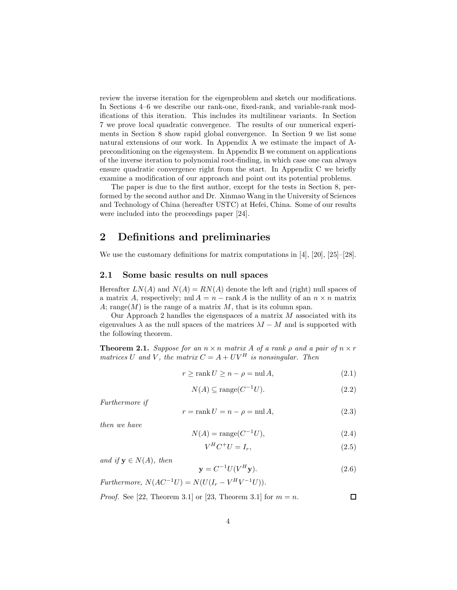review the inverse iteration for the eigenproblem and sketch our modifications. In Sections 4–6 we describe our rank-one, fixed-rank, and variable-rank modifications of this iteration. This includes its multilinear variants. In Section 7 we prove local quadratic convergence. The results of our numerical experiments in Section 8 show rapid global convergence. In Section 9 we list some natural extensions of our work. In Appendix A we estimate the impact of Apreconditioning on the eigensystem. In Appendix B we comment on applications of the inverse iteration to polynomial root-finding, in which case one can always ensure quadratic convergence right from the start. In Appendix C we briefly examine a modification of our approach and point out its potential problems.

The paper is due to the first author, except for the tests in Section 8, performed by the second author and Dr. Xinmao Wang in the University of Sciences and Technology of China (hereafter USTC) at Hefei, China. Some of our results were included into the proceedings paper [24].

## **2 Definitions and preliminaries**

We use the customary definitions for matrix computations in [4], [20], [25]–[28].

#### **2.1 Some basic results on null spaces**

Hereafter  $LN(A)$  and  $N(A) = RN(A)$  denote the left and (right) null spaces of a matrix A, respectively; nul  $A = n - \text{rank } A$  is the nullity of an  $n \times n$  matrix A; range(M) is the range of a matrix M, that is its column span.

Our Approach 2 handles the eigenspaces of a matrix  $M$  associated with its eigenvalues  $\lambda$  as the null spaces of the matrices  $\lambda I - M$  and is supported with the following theorem.

**Theorem 2.1.** *Suppose for an*  $n \times n$  *matrix* A *of a rank*  $\rho$  *and* a pair of  $n \times r$ *matrices* U and V, the matrix  $C = A + UV^H$  *is nonsingular. Then* 

$$
r \ge \operatorname{rank} U \ge n - \rho = \operatorname{null} A,\tag{2.1}
$$

$$
N(A) \subseteq \text{range}(C^{-1}U). \tag{2.2}
$$

*Furthermore if*

$$
r = \text{rank } U = n - \rho = \text{null } A,\tag{2.3}
$$

*then we have*

$$
N(A) = \text{range}(C^{-1}U),\tag{2.4}
$$

$$
V^H C^+ U = I_r,\tag{2.5}
$$

*and if*  $y \in N(A)$ *, then* 

$$
\mathbf{y} = C^{-1} U(V^H \mathbf{y}).\tag{2.6}
$$

*Furthermore,*  $N(AC^{-1}U) = N(U(I_r - V^H V^{-1}U)).$ 

*Proof.* See [22, Theorem 3.1] or [23, Theorem 3.1] for  $m = n$ .  $\Box$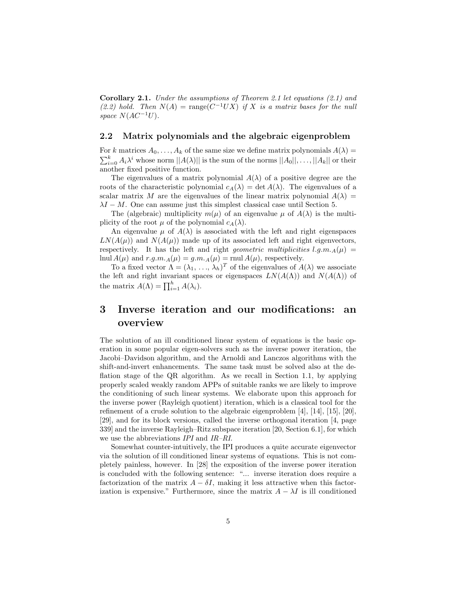**Corollary 2.1.** *Under the assumptions of Theorem 2.1 let equations (2.1) and*  $(2.2)$  hold. Then  $N(A) = \text{range}(C^{-1}UX)$  *if* X *is a matrix bases for the null space*  $N(AC^{-1}U)$ .

#### **2.2 Matrix polynomials and the algebraic eigenproblem**

For k matrices  $A_0, \ldots, A_k$  of the same size we define matrix polynomials  $A(\lambda) =$  $\sum_{i=0}^k A_i \lambda^i$  whose norm  $||A(\lambda)||$  is the sum of the norms  $||A_0||, \ldots, ||A_k||$  or their another fixed positive function.

The eigenvalues of a matrix polynomial  $A(\lambda)$  of a positive degree are the roots of the characteristic polynomial  $c_A(\lambda) = \det A(\lambda)$ . The eigenvalues of a scalar matrix M are the eigenvalues of the linear matrix polynomial  $A(\lambda)$  =  $\lambda I - M$ . One can assume just this simplest classical case until Section 5.

The (algebraic) multiplicity  $m(\mu)$  of an eigenvalue  $\mu$  of  $A(\lambda)$  is the multiplicity of the root  $\mu$  of the polynomial  $c_A(\lambda)$ .

An eigenvalue  $\mu$  of  $A(\lambda)$  is associated with the left and right eigenspaces  $LN(A(\mu))$  and  $N(A(\mu))$  made up of its associated left and right eigenvectors, respectively. It has the left and right *geometric multiplicities* l.g.m. $_A(\mu)$  = lnul  $A(\mu)$  and  $r.g.m.A(\mu) = g.m.A(\mu) = \text{r}$  and  $A(\mu)$ , respectively.

To a fixed vector  $\Lambda = (\lambda_1, \ldots, \lambda_h)^T$  of the eigenvalues of  $A(\lambda)$  we associate the left and right invariant spaces or eigenspaces  $LN(A(\Lambda))$  and  $N(A(\Lambda))$  of the matrix  $A(\Lambda) = \prod_{i=1}^{h} A(\lambda_i)$ .

## **3 Inverse iteration and our modifications: an overview**

The solution of an ill conditioned linear system of equations is the basic operation in some popular eigen-solvers such as the inverse power iteration, the Jacobi–Davidson algorithm, and the Arnoldi and Lanczos algorithms with the shift-and-invert enhancements. The same task must be solved also at the deflation stage of the QR algorithm. As we recall in Section 1.1, by applying properly scaled weakly random APPs of suitable ranks we are likely to improve the conditioning of such linear systems. We elaborate upon this approach for the inverse power (Rayleigh quotient) iteration, which is a classical tool for the refinement of a crude solution to the algebraic eigenproblem [4], [14], [15], [20], [29], and for its block versions, called the inverse orthogonal iteration [4, page 339] and the inverse Rayleigh–Ritz subspace iteration [20, Section 6.1], for which we use the abbreviations *IPI* and *IR–RI*.

Somewhat counter-intuitively, the IPI produces a quite accurate eigenvector via the solution of ill conditioned linear systems of equations. This is not completely painless, however. In [28] the exposition of the inverse power iteration is concluded with the following sentence: "... inverse iteration does require a factorization of the matrix  $A - \delta I$ , making it less attractive when this factorization is expensive." Furthermore, since the matrix  $A - \lambda I$  is ill conditioned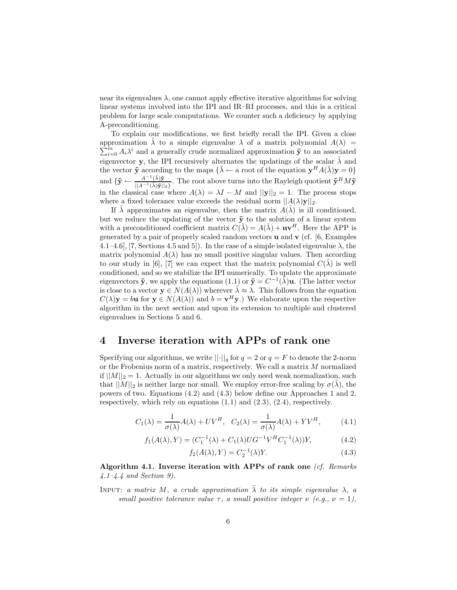near its eigenvalues  $\lambda$ , one cannot apply effective iterative algorithms for solving linear systems involved into the IPI and IR–RI processes, and this is a critical problem for large scale computations. We counter such a deficiency by applying A-preconditioning.

To explain our modifications, we first briefly recall the IPI. Given a close approximation  $\tilde{\lambda}$  to a simple eigenvalue  $\lambda$  of a matrix polynomial  $A(\lambda) = \sum_{m=1}^{m} A_{m}^{n}$  is and a generally equipe normalized approximation  $\tilde{\lambda}$  to an especiated  $\sum_{i=0}^{m} A_i \lambda^i$  and a generally crude normalized approximation **y** to an associated eigenvector **y**, the IPI recursively alternates the updatings of the scalar  $\tilde{\lambda}$  and the vector  $\tilde{\mathbf{y}}$  according to the maps  $\{\tilde{\lambda} \leftarrow$  a root of the equation  $\mathbf{y}^H A(\tilde{\lambda}) \mathbf{y} = 0\}$ and  ${\{\tilde{\mathbf{y}} \leftarrow \frac{A^{-1}(\tilde{\lambda})\tilde{\mathbf{y}}}{||A^{-1}(\tilde{\lambda})\tilde{\mathbf{y}}||_2\}}$ . The root above turns into the Rayleigh quotient  $\tilde{\mathbf{y}}^H M \tilde{\mathbf{y}}$ in the classical case where  $A(\lambda) = \lambda I - M$  and  $||\mathbf{y}||_2 = 1$ . The process stops where a fixed tolerance value exceeds the residual norm  $||A(\lambda)\mathbf{y}||_2$ .

If  $\lambda$  approximates an eigenvalue, then the matrix  $A(\lambda)$  is ill conditioned, but we reduce the updating of the vector  $\tilde{\mathbf{y}}$  to the solution of a linear system with a preconditioned coefficient matrix  $C(\tilde{\lambda}) = A(\tilde{\lambda}) + \mathbf{u}\mathbf{v}^H$ . Here the APP is generated by a pair of properly scaled random vectors **u** and **v** (cf. [6, Examples 4.1–4.6], [7, Sections 4.5 and 5]). In the case of a simple isolated eigenvalue  $\lambda$ , the matrix polynomial  $A(\lambda)$  has no small positive singular values. Then according to our study in [6], [7] we can expect that the matrix polynomial  $C(\lambda)$  is well conditioned, and so we stabilize the IPI numerically. To update the approximate eigenvectors  $\tilde{\mathbf{y}}$ , we apply the equations (1.1) or  $\tilde{\mathbf{y}} = C^{-1}(\tilde{\lambda})\mathbf{u}$ . (The latter vector is close to a vector  $y \in N(A(\lambda))$  wherever  $\tilde{\lambda} \approx \lambda$ . This follows from the equation  $C(\lambda)$ **y** = b**u** for **y**  $\in N(A(\lambda))$  and  $b = \mathbf{v}^H \mathbf{y}$ .) We elaborate upon the respective algorithm in the next section and upon its extension to multiple and clustered eigenvalues in Sections 5 and 6.

### **4 Inverse iteration with APPs of rank one**

Specifying our algorithms, we write  $\lVert \cdot \rVert_q$  for  $q = 2$  or  $q = F$  to denote the 2-norm or the Frobenius norm of a matrix, respectively. We call a matrix  $M$  normalized if  $||M||_2 = 1$ . Actually in our algorithms we only need weak normalization, such that  $||M||_2$  is neither large nor small. We employ error-free scaling by  $\sigma(\lambda)$ , the powers of two. Equations (4.2) and (4.3) below define our Approaches 1 and 2, respectively, which rely on equations (1.1) and (2.3), (2.4), respectively.

$$
C_1(\lambda) = \frac{1}{\sigma(\lambda)} A(\lambda) + UV^H, \quad C_2(\lambda) = \frac{1}{\sigma(\lambda)} A(\lambda) + YV^H, \tag{4.1}
$$

$$
f_1(A(\lambda), Y) = (C_1^{-1}(\lambda) + C_1(\lambda)U G^{-1} V^H C_1^{-1}(\lambda))Y,
$$
\n(4.2)

$$
f_2(A(\lambda), Y) = C_2^{-1}(\lambda)Y.
$$
\n
$$
(4.3)
$$

**Algorithm 4.1. Inverse iteration with APPs of rank one** *(cf. Remarks 4.1–4.4 and Section 9).*

INPUT: *a matrix* M, *a crude approximation*  $\tilde{\lambda}$  *to its simple eigenvalue*  $\lambda$ , *a small positive tolerance value*  $\tau$ , *a small positive integer*  $\nu$  *(e.g.,*  $\nu = 1$ *),*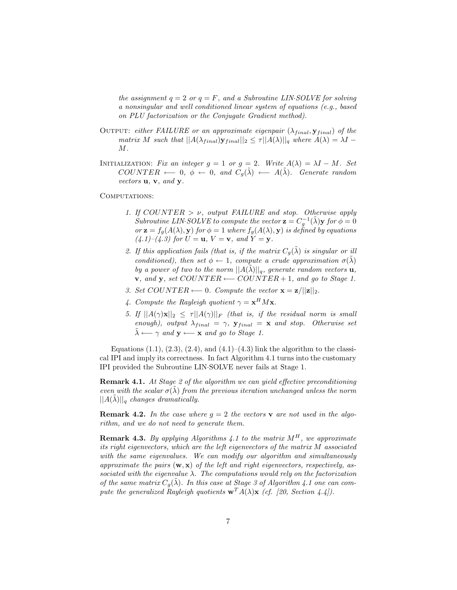*the assignment*  $q = 2$  *or*  $q = F$ *, and a Subroutine LIN·SOLVE for solving a nonsingular and well conditioned linear system of equations (e.g., based on PLU factorization or the Conjugate Gradient method).*

- OUTPUT: *either FAILURE or an approximate eigenpair*  $(\lambda_{final}, \mathbf{y}_{final})$  *of the matrix M* such that  $||A(\lambda_{final})\mathbf{y}_{final}||_2 \leq \tau ||A(\lambda)||_q$  where  $A(\lambda) = \lambda I$  – M*.*
- INITIALIZATION: *Fix an integer*  $g = 1$  *or*  $g = 2$ *. Write*  $A(\lambda) = \lambda I M$ *. Set*  $COUNTER \leftarrow 0, \phi \leftarrow 0, \text{ and } C_q(\tilde{\lambda}) \leftarrow A(\tilde{\lambda}).$  Generate random *vectors* **u***,* **v***, and* **y***.*

COMPUTATIONS:

- *1. If* COUNTER > ν*, output FAILURE and stop. Otherwise apply Subroutine LIN·SOLVE to compute the vector*  $\mathbf{z} = C_a^{-1}(\tilde{\lambda}) \mathbf{y}$  *for*  $\phi = 0$  $or \mathbf{z} = f_g(A(\lambda), \mathbf{y})$  *for*  $\phi = 1$  *where*  $f_g(A(\lambda), \mathbf{y})$  *is defined by equations*  $(4.1)-(4.3)$  for  $U = \mathbf{u}, V = \mathbf{v}, \text{ and } Y = \mathbf{y}.$
- 2. If this application fails (that is, if the matrix  $C_q(\tilde{\lambda})$  is singular or ill *conditioned), then set*  $\phi \leftarrow 1$ *, compute a crude approximation*  $\sigma(\tilde{\lambda})$ *by a power of two to the norm*  $||A(\tilde{\lambda})||_q$ *, generate random vectors* **u***,* **v***, and* **y***, set* COUNTER ←− COUNTER + 1*, and go to Stage 1.*
- *3. Set* COUNTER ← 0*.* Compute the vector  $\mathbf{x} = \mathbf{z}/||\mathbf{z}||_2$ .
- *4. Compute the Rayleigh quotient*  $\gamma = \mathbf{x}^H M \mathbf{x}$ *.*
- *5. If*  $||A(\gamma)\mathbf{x}||_2 \le \tau ||A(\gamma)||_F$  *(that is, if the residual norm is small enough), output*  $\lambda_{final} = \gamma$ ,  $\mathbf{y}_{final} = \mathbf{x}$  *and stop. Otherwise set*  $\tilde{\lambda} \longleftarrow \gamma$  and  $\mathbf{y} \longleftarrow \mathbf{x}$  and go to Stage 1.

Equations  $(1.1), (2.3), (2.4),$  and  $(4.1)$ – $(4.3)$  link the algorithm to the classical IPI and imply its correctness. In fact Algorithm 4.1 turns into the customary IPI provided the Subroutine LIN·SOLVE never fails at Stage 1.

**Remark 4.1.** *At Stage 2 of the algorithm we can yield effective preconditioning even with the scalar*  $\sigma(\lambda)$  *from the previous iteration unchanged unless the norm*  $||A(\lambda)||_q$  *changes dramatically.* 

**Remark 4.2.** In the case where  $g = 2$  the vectors **v** are not used in the algo*rithm, and we do not need to generate them.*

**Remark 4.3.** *By applying Algorithms 4.1 to the matrix*  $M<sup>H</sup>$ *, we approximate its right eigenvectors, which are the left eigenvectors of the matrix* M *associated with the same eigenvalues. We can modify our algorithm and simultaneously approximate the pairs* (**w**, **x**) *of the left and right eigenvectors, respectively, associated with the eigenvalue* λ*. The computations would rely on the factorization of the same matrix*  $C_q(\lambda)$ *. In this case at Stage 3 of Algorithm 4.1 one can compute the generalized Rayleigh quotients*  $\mathbf{w}^T A(\lambda) \mathbf{x}$  *(cf. [20, Section 4.4]).*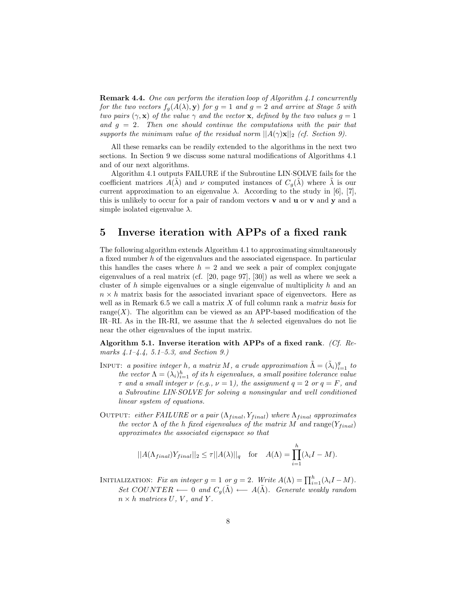**Remark 4.4.** *One can perform the iteration loop of Algorithm 4.1 concurrently for the two vectors*  $f_q(A(\lambda), y)$  *for*  $g = 1$  *and*  $g = 2$  *and arrive at Stage 5 with two pairs*  $(\gamma, \mathbf{x})$  *of the value*  $\gamma$  *and the vector* **x***, defined by the two values*  $g = 1$ *and* g = 2*. Then one should continue the computations with the pair that supports the minimum value of the residual norm*  $||A(\gamma)\mathbf{x}||_2$  *(cf. Section 9).* 

All these remarks can be readily extended to the algorithms in the next two sections. In Section 9 we discuss some natural modifications of Algorithms 4.1 and of our next algorithms.

Algorithm 4.1 outputs FAILURE if the Subroutine LIN·SOLVE fails for the coefficient matrices  $A(\lambda)$  and  $\nu$  computed instances of  $C_q(\lambda)$  where  $\lambda$  is our current approximation to an eigenvalue  $\lambda$ . According to the study in [6], [7], this is unlikely to occur for a pair of random vectors **v** and **u** or **v** and **y** and a simple isolated eigenvalue  $\lambda$ .

### **5 Inverse iteration with APPs of a fixed rank**

The following algorithm extends Algorithm 4.1 to approximating simultaneously a fixed number h of the eigenvalues and the associated eigenspace. In particular this handles the cases where  $h = 2$  and we seek a pair of complex conjugate eigenvalues of a real matrix (cf. [20, page 97], [30]) as well as where we seek a cluster of  $h$  simple eigenvalues or a single eigenvalue of multiplicity  $h$  and an  $n \times h$  matrix basis for the associated invariant space of eigenvectors. Here as well as in Remark 6.5 we call a matrix X of full column rank a *matrix basis* for range(X). The algorithm can be viewed as an APP-based modification of the IR–RI. As in the IR-RI, we assume that the h selected eigenvalues do not lie near the other eigenvalues of the input matrix.

**Algorithm 5.1. Inverse iteration with APPs of a fixed rank***. (Cf. Remarks 4.1–4.4, 5.1–5.3, and Section 9.)*

- INPUT: *a positive integer h*, *a matrix M*, *a crude approximation*  $\tilde{\Lambda} = (\tilde{\lambda}_i)_{i=1}^g$  to *the vector*  $\Lambda = (\lambda_i)_{i=1}^h$  *of its h eigenvalues, a small positive tolerance value*  $\tau$  *and a small integer*  $\nu$  *(e.g.,*  $\nu = 1$ *), the assignment*  $q = 2$  *or*  $q = F$ *, and a Subroutine LIN*·*SOLVE for solving a nonsingular and well conditioned linear system of equations.*
- OUTPUT: *either FAILURE or a pair*  $(\Lambda_{final}, Y_{final})$  *where*  $\Lambda_{final}$  *approximates the vector*  $\Lambda$  *of the h fixed eigenvalues of the matrix*  $M$  *and* range $(Y_{final})$ *approximates the associated eigenspace so that*

$$
||A(\Lambda_{final})Y_{final}||_2 \leq \tau ||A(\lambda)||_q \quad \text{for} \quad A(\Lambda) = \prod_{i=1}^h (\lambda_i I - M).
$$

INITIALIZATION: *Fix an integer*  $g = 1$  *or*  $g = 2$ *. Write*  $A(\Lambda) = \prod_{i=1}^{h} (\lambda_i I - M)$ *. Set* COUNTER ← 0 *and*  $C_q(\tilde{\Lambda})$  ←  $A(\tilde{\Lambda})$ *. Generate weakly random*  $n \times h$  *matrices*  $U, V,$  *and*  $Y$ *.*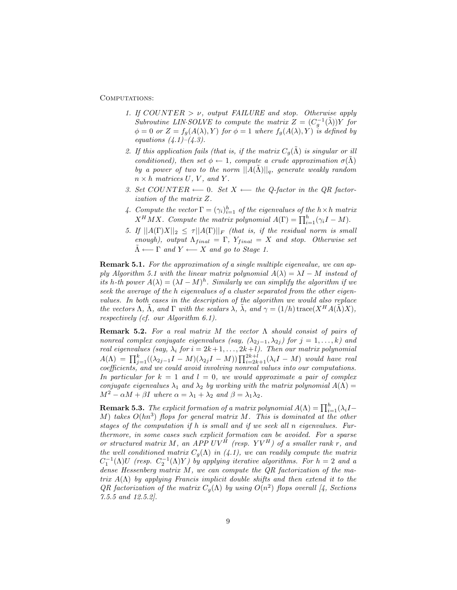COMPUTATIONS:

- *1. If* COUNTER > ν*, output FAILURE and stop. Otherwise apply Subroutine LIN·SOLVE to compute the matrix*  $Z = (C_q^{-1}(\tilde{\lambda}))Y$  *for*  $\phi = 0$  *or*  $Z = f_g(A(\lambda), Y)$  *for*  $\phi = 1$  *where*  $f_g(A(\lambda), Y)$  *is defined by equations (4.1)–(4.3).*
- 2. If this application fails (that is, if the matrix  $C_g(\Lambda)$  is singular or ill *conditioned), then set*  $\phi \leftarrow 1$ *, compute a crude approximation*  $\sigma(\tilde{\Lambda})$ *by a power of two to the norm*  $||A(\Lambda)||_q$ *, generate weakly random*  $n \times h$  *matrices*  $U, V,$  *and*  $Y$ *.*
- *3. Set COUNTER* ← 0*. Set X* ← *the Q-factor in the QR factorization of the matrix* Z*.*
- 4. Compute the vector  $\Gamma = (\gamma_i)_{i=1}^h$  of the eigenvalues of the  $h \times h$  matrix  $X^H M X$ *. Compute the matrix polynomial*  $A(\Gamma) = \prod_{i=1}^h (\gamma_i I - M)$ *.*
- *5. If*  $||A(\Gamma)X||_2 \leq \tau ||A(\Gamma)||_F$  *(that is, if the residual norm is small enough), output*  $\Lambda_{final} = \Gamma$ ,  $Y_{final} = X$  *and stop. Otherwise set*  $\tilde{\Lambda} \longleftarrow \Gamma$  and  $Y \longleftarrow X$  and go to Stage 1.

**Remark 5.1.** *For the approximation of a single multiple eigenvalue, we can apply Algorithm 5.1 with the linear matrix polynomial*  $A(\lambda) = \lambda I - M$  *instead of its* h-th power  $A(\lambda) = (\lambda I - M)^h$ . Similarly we can simplify the algorithm if we *seek the average of the* h *eigenvalues of a cluster separated from the other eigenvalues. In both cases in the description of the algorithm we would also replace the vectors*  $\Lambda$ *,*  $\tilde{\Lambda}$ *, and*  $\Gamma$  *with the scalars*  $\lambda$ *,*  $\tilde{\lambda}$ *, and*  $\gamma = (1/h) \operatorname{trace}(X^H A(\tilde{\Lambda}) X)$ *, respectively (cf. our Algorithm 6.1).*

**Remark 5.2.** *For a real matrix* M *the vector* Λ *should consist of pairs of nonreal complex conjugate eigenvalues (say,*  $(\lambda_{2j-1}, \lambda_{2j})$  *for*  $j = 1, \ldots, k$ *) and real eigenvalues (say,*  $\lambda_i$  *for*  $i = 2k + 1, \ldots, 2k + l$ ). Then our matrix polynomial  $A(\Lambda) = \prod_{j=1}^{k} ((\lambda_{2j-1}I - M)(\lambda_{2j}I - M)) \prod_{i=2k+1}^{2k+l} (\lambda_iI - M)$  would have real *coefficients, and we could avoid involving nonreal values into our computations. In particular for*  $k = 1$  *and*  $l = 0$ *, we would approximate a pair of complex conjugate eigenvalues*  $\lambda_1$  *and*  $\lambda_2$  *by working with the matrix polynomial*  $A(\Lambda)$  =  $M^2 - \alpha M + \beta I$  where  $\alpha = \lambda_1 + \lambda_2$  and  $\beta = \lambda_1 \lambda_2$ .

**Remark 5.3.** *The explicit formation of a matrix polynomial*  $A(\Lambda) = \prod_{i=1}^{h} (\lambda_i I -$ M) *takes* O(hn<sup>3</sup>) *flops for general matrix* M*. This is dominated at the other stages of the computation if* h *is small and if we seek all* n *eigenvalues. Furthermore, in some cases such explicit formation can be avoided. For a sparse or structured matrix* M*, an APP* UV <sup>H</sup> *(resp.* Y V <sup>H</sup>*) of a smaller rank* r*, and the well conditioned matrix*  $C_g(\Lambda)$  *in (4.1), we can readily compute the matrix*  $C_1^{-1}(\Lambda)U$  (resp.  $C_2^{-1}(\Lambda)Y$ ) by applying iterative algorithms. For  $h = 2$  and a *dense Hessenberg matrix* M*, we can compute the QR factorization of the matrix* A(Λ) *by applying Francis implicit double shifts and then extend it to the QR factorization of the matrix*  $C_g(\Lambda)$  *by using*  $O(n^2)$  *flops overall* [4, Sections *7.5.5 and 12.5.2].*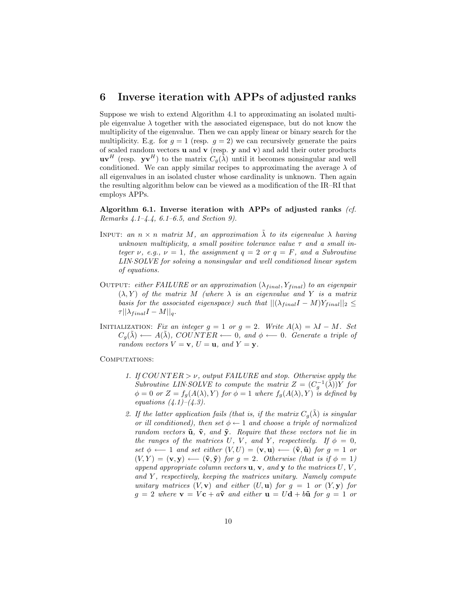#### **6 Inverse iteration with APPs of adjusted ranks**

Suppose we wish to extend Algorithm 4.1 to approximating an isolated multiple eigenvalue  $\lambda$  together with the associated eigenspace, but do not know the multiplicity of the eigenvalue. Then we can apply linear or binary search for the multiplicity. E.g. for  $g = 1$  (resp.  $g = 2$ ) we can recursively generate the pairs of scaled random vectors **u** and **v** (resp. **y** and **v**) and add their outer products  $\mathbf{u}\mathbf{v}^H$  (resp.  $\mathbf{y}\mathbf{v}^H$ ) to the matrix  $C_g(\tilde{\lambda})$  until it becomes nonsingular and well conditioned. We can apply similar recipes to approximating the average  $\lambda$  of all eigenvalues in an isolated cluster whose cardinality is unknown. Then again the resulting algorithm below can be viewed as a modification of the IR–RI that employs APPs.

**Algorithm 6.1. Inverse iteration with APPs of adjusted ranks** *(cf. Remarks 4.1–4.4, 6.1–6.5, and Section 9).*

- INPUT: an  $n \times n$  *matrix* M, an approximation  $\tilde{\lambda}$  to its eigenvalue  $\lambda$  *having unknown multiplicity, a small positive tolerance value* τ *and a small integer*  $\nu$ ,  $e.g., \nu = 1$ , the assignment  $q = 2$  or  $q = F$ , and a Subroutine *LIN*·*SOLVE for solving a nonsingular and well conditioned linear system of equations.*
- OUTPUT: *either FAILURE or an approximation*  $(\lambda_{final}, Y_{final})$  *to an eigenpair*  $(\lambda, Y)$  *of the matrix* M *(where*  $\lambda$  *is an eigenvalue and* Y *is a matrix basis for the associated eigenspace) such that*  $||(\lambda_{final}I - M)Y_{final}||_2 \le$  $\tau || \lambda_{final} I - M ||_q.$
- INITIALIZATION: *Fix an integer*  $g = 1$  *or*  $g = 2$ *. Write*  $A(\lambda) = \lambda I M$ *. Set*  $C_q(\tilde{\lambda}) \longleftarrow A(\tilde{\lambda}), \text{COUNTER} \longleftarrow 0, \text{ and } \phi \longleftarrow 0. \text{ Generate a triple of}$ *random vectors*  $V = \mathbf{v}$ *,*  $U = \mathbf{u}$ *, and*  $Y = \mathbf{y}$ *.*

COMPUTATIONS:

- *1. If* COUNTER > ν*, output FAILURE and stop. Otherwise apply the Subroutine LIN·SOLVE to compute the matrix*  $Z = (C_q^{-1}(\tilde{\lambda}))Y$  *for*  $\phi = 0$  *or*  $Z = f_g(A(\lambda), Y)$  *for*  $\phi = 1$  *where*  $f_g(A(\lambda), Y)$  *is defined by equations (4.1)–(4.3).*
- 2. If the latter application fails (that is, if the matrix  $C_q(\tilde{\lambda})$  is singular *or ill conditioned), then set*  $\phi \leftarrow 1$  *and choose a triple of normalized random vectors*  $\tilde{u}$ *,*  $\tilde{v}$ *, and*  $\tilde{y}$ *. Require that these vectors not lie in the ranges of the matrices* U, V, and Y, respectively. If  $\phi = 0$ ,  $set \phi \longleftarrow 1$  *and set either*  $(V, U) = (\mathbf{v}, \mathbf{u}) \longleftarrow (\tilde{\mathbf{v}}, \tilde{\mathbf{u}})$  *for*  $g = 1$  *or*  $(V, Y) = (v, y) \longleftarrow (\tilde{v}, \tilde{y})$  *for*  $g = 2$ *. Otherwise (that is if*  $\phi = 1$ ) *append appropriate column vectors* **u***,* **v***, and* **y** *to the matrices* U*,* V *,* and Y, respectively, keeping the matrices unitary. Namely compute *unitary matrices*  $(V, \mathbf{v})$  *and either*  $(U, \mathbf{u})$  *for*  $q = 1$  *or*  $(Y, \mathbf{y})$  *for*  $g = 2$  where  $\mathbf{v} = V\mathbf{c} + a\tilde{\mathbf{v}}$  and either  $\mathbf{u} = U\mathbf{d} + b\tilde{\mathbf{u}}$  for  $g = 1$  or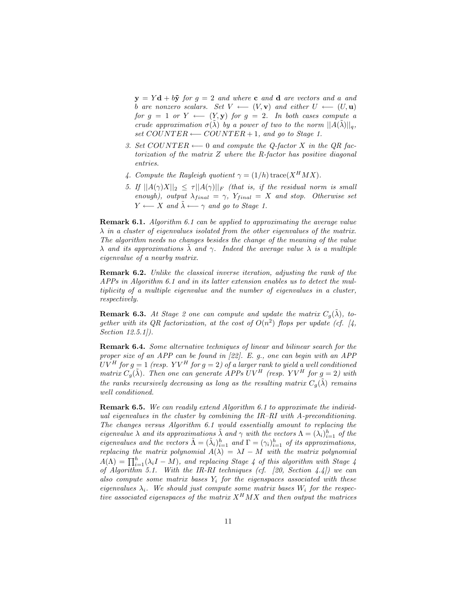$y = Yd + b\tilde{y}$  *for*  $g = 2$  *and* where **c** *and* **d** *are vectors and a and b* are nonzero scalars. Set  $V \leftarrow (V, \mathbf{v})$  and either  $U \leftarrow (U, \mathbf{u})$ *for*  $g = 1$  *or*  $Y \leftarrow (Y, y)$  *for*  $g = 2$ *. In both cases compute a crude approximation*  $\sigma(\lambda)$  *by a power of two to the norm*  $||A(\lambda)||_q$ , *set* COUNTER ←− COUNTER + 1*, and go to Stage 1.*

- *3. Set* COUNTER ←− 0 *and compute the Q-factor* X *in the QR factorization of the matrix* Z *where the R-factor has positive diagonal entries.*
- 4. Compute the Rayleigh quotient  $\gamma = (1/h) \text{trace}(X^H M X)$ .
- *5. If*  $||A(\gamma)X||_2 \leq \tau ||A(\gamma)||_F$  *(that is, if the residual norm is small enough), output*  $\lambda_{final} = \gamma$ ,  $Y_{final} = X$  *and stop. Otherwise set*  $Y \longleftarrow X$  *and*  $\lambda \longleftarrow \gamma$  *and go to Stage 1.*

**Remark 6.1.** *Algorithm 6.1 can be applied to approximating the average value* λ *in a cluster of eigenvalues isolated from the other eigenvalues of the matrix. The algorithm needs no changes besides the change of the meaning of the value*  $\lambda$  *and its approximations*  $\lambda$  *and*  $\gamma$ *. Indeed the average value*  $\lambda$  *is a multiple eigenvalue of a nearby matrix.*

**Remark 6.2.** *Unlike the classical inverse iteration, adjusting the rank of the APPs in Algorithm 6.1 and in its latter extension enables us to detect the multiplicity of a multiple eigenvalue and the number of eigenvalues in a cluster, respectively.*

**Remark 6.3.** At Stage 2 one can compute and update the matrix  $C_q(\lambda)$ , to*gether with its QR factorization, at the cost of*  $O(n^2)$  *flops per update (cf. [4, Section 12.5.1]).*

**Remark 6.4.** *Some alternative techniques of linear and bilinear search for the proper size of an APP can be found in [22]. E. g., one can begin with an APP*  $UV^H$  for  $g = 1$  (resp.  $YV^H$  for  $g = 2$ ) of a larger rank to yield a well conditioned *matrix*  $C_g(\tilde{\lambda})$ *. Then one can generate APPs UV<sup>H</sup> (resp. YV<sup>H</sup> for g = 2) with the ranks recursively decreasing as long as the resulting matrix*  $C_q(\tilde{\lambda})$  *remains well conditioned.*

**Remark 6.5.** *We can readily extend Algorithm 6.1 to approximate the individual eigenvalues in the cluster by combining the IR–RI with A-preconditioning. The changes versus Algorithm 6.1 would essentially amount to replacing the eigenvalue*  $\lambda$  *and its approximations*  $\tilde{\lambda}$  *and*  $\gamma$  *with the vectors*  $\Lambda = (\lambda_i)_{i=1}^h$  *of the eigenvalues and the vectors*  $\tilde{\Lambda} = (\tilde{\lambda}_i)_{i=1}^h$  *and*  $\Gamma = (\gamma_i)_{i=1}^h$  *of its approximations, replacing the matrix polynomial*  $\widehat{A(\lambda)} = \lambda I - \widehat{M}$  *with the matrix polynomial*  $A(\Lambda) = \prod_{i=1}^{h} (\lambda_i I - M)$ , and replacing Stage 4 of this algorithm with Stage 4 *of Algorithm 5.1. With the IR-RI techniques (cf. [20, Section 4.4]) we can also compute some matrix bases* Y<sup>i</sup> *for the eigenspaces associated with these* eigenvalues  $\lambda_i$ . We should just compute some matrix bases  $W_i$  for the respec*tive associated eigenspaces of the matrix* X<sup>H</sup>MX *and then output the matrices*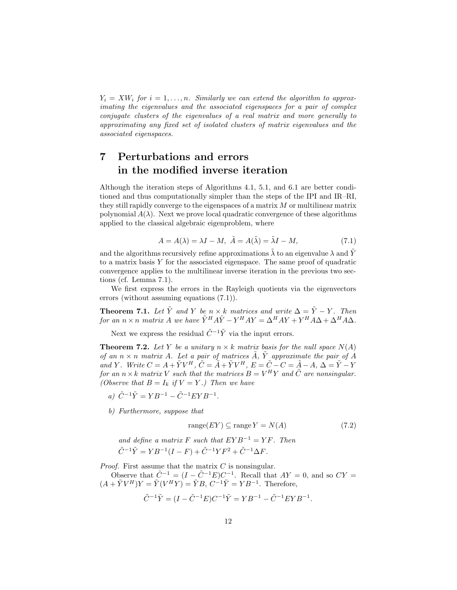$Y_i = XW_i$  for  $i = 1, \ldots, n$ . Similarly we can extend the algorithm to approx*imating the eigenvalues and the associated eigenspaces for a pair of complex conjugate clusters of the eigenvalues of a real matrix and more generally to approximating any fixed set of isolated clusters of matrix eigenvalues and the associated eigenspaces.*

## **7 Perturbations and errors in the modified inverse iteration**

Although the iteration steps of Algorithms 4.1, 5.1, and 6.1 are better conditioned and thus computationally simpler than the steps of the IPI and IR–RI, they still rapidly converge to the eigenspaces of a matrix  $M$  or multilinear matrix polynomial  $A(\lambda)$ . Next we prove local quadratic convergence of these algorithms applied to the classical algebraic eigenproblem, where

$$
A = A(\lambda) = \lambda I - M, \ \tilde{A} = A(\tilde{\lambda}) = \tilde{\lambda}I - M,\tag{7.1}
$$

and the algorithms recursively refine approximations  $\lambda$  to an eigenvalue  $\lambda$  and Y to a matrix basis  $Y$  for the associated eigenspace. The same proof of quadratic convergence applies to the multilinear inverse iteration in the previous two sections (cf. Lemma 7.1).

We first express the errors in the Rayleigh quotients via the eigenvectors errors (without assuming equations (7.1)).

**Theorem 7.1.** *Let*  $\tilde{Y}$  *and* Y *be*  $n \times k$  *matrices and write*  $\Delta = \tilde{Y} - Y$ *. Then for an*  $n \times n$  *matrix A we have*  $\tilde{Y}^H A \tilde{Y} - Y^H A Y = \Delta^H A Y + Y^H A \Delta + \Delta^H A \Delta$ *.* 

Next we express the residual  $\tilde{C}^{-1}\tilde{Y}$  via the input errors.

**Theorem 7.2.** Let Y be a unitary  $n \times k$  matrix basis for the null space  $N(A)$ *of an*  $n \times n$  *matrix* A. Let a pair of matrices  $\ddot{A}$ ,  $\ddot{Y}$  approximate the pair of A *and* Y. Write  $C = A + \tilde{Y}V^H$ ,  $\tilde{C} = \tilde{A} + \tilde{Y}V^H$ ,  $E = \tilde{C} - C = \tilde{A} - A$ ,  $\Delta = \tilde{Y} - Y$ *for an*  $n \times k$  *matrix V such that the matrices*  $B = V^H Y$  *and*  $\tilde{C}$  *are nonsingular. (Observe that*  $B = I_k$  *if*  $V = Y$ *.) Then we have* 

- *a)*  $\tilde{C}^{-1}\tilde{Y} = YB^{-1} \tilde{C}^{-1}EYB^{-1}.$
- *b) Furthermore, suppose that*

$$
range(EY) \subseteq range Y = N(A) \tag{7.2}
$$

and define a matrix F such that 
$$
EYB^{-1} = YF
$$
. Then  
\n
$$
\tilde{C}^{-1}\tilde{Y} = YB^{-1}(I - F) + \tilde{C}^{-1}YF^2 + \tilde{C}^{-1}\Delta F.
$$

*Proof.* First assume that the matrix C is nonsingular.

Observe that  $\tilde{C}^{-1} = (I - \tilde{C}^{-1}E)C^{-1}$ . Recall that  $AY = 0$ , and so  $CY =$  $(A + \tilde{Y}V^H)Y = \tilde{Y}(V^H Y) = \tilde{Y}B, C^{-1}\tilde{Y} = YB^{-1}.$  Therefore,

$$
\tilde{C}^{-1}\tilde{Y} = (I - \tilde{C}^{-1}E)C^{-1}\tilde{Y} = YB^{-1} - \tilde{C}^{-1}EYB^{-1}.
$$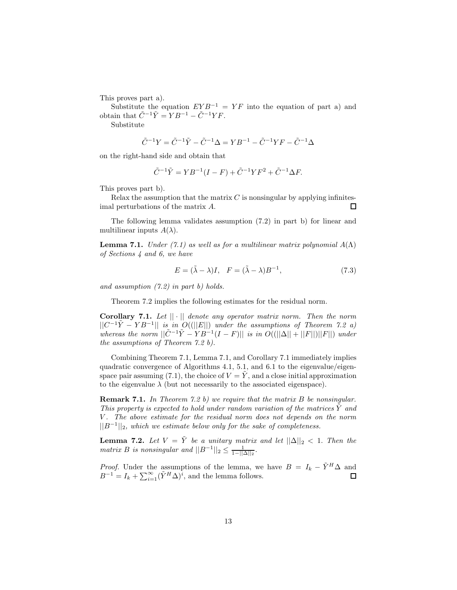This proves part a).

Substitute the equation  $EYB^{-1} = YF$  into the equation of part a) and obtain that  $\tilde{C}^{-1}\tilde{Y} = YB^{-1} - \tilde{C}^{-1}YF$ .

Substitute

$$
\tilde{C}^{-1}Y = \tilde{C}^{-1}\tilde{Y} - \tilde{C}^{-1}\Delta = YB^{-1} - \tilde{C}^{-1}YF - \tilde{C}^{-1}\Delta
$$

on the right-hand side and obtain that

$$
\tilde{C}^{-1}\tilde{Y} = YB^{-1}(I - F) + \tilde{C}^{-1}YF^{2} + \tilde{C}^{-1}\Delta F.
$$

This proves part b).

Relax the assumption that the matrix  $C$  is nonsingular by applying infinitesimal perturbations of the matrix A.  $\Box$ 

The following lemma validates assumption (7.2) in part b) for linear and multilinear inputs  $A(\lambda)$ .

**Lemma 7.1.** *Under* (7.1) as well as for a multilinear matrix polynomial  $A(\Lambda)$ *of Sections 4 and 6, we have*

$$
E = (\tilde{\lambda} - \lambda)I, \quad F = (\tilde{\lambda} - \lambda)B^{-1}, \tag{7.3}
$$

*and assumption (7.2) in part b) holds.*

Theorem 7.2 implies the following estimates for the residual norm.

**Corollary 7.1.** *Let* || · || *denote any operator matrix norm. Then the norm*  $||C^{-1}\tilde{Y} - Y B^{-1}||$  *is in O((||E||) under the assumptions of Theorem 7.2 a)*  $\hat{E}$  whereas the norm  $||\tilde{C}^{-1}\tilde{Y} - Y B^{-1}(I - F)||$  *is in*  $O(||\Delta|| + ||F||)||F||)$  *under the assumptions of Theorem 7.2 b).*

Combining Theorem 7.1, Lemma 7.1, and Corollary 7.1 immediately implies quadratic convergence of Algorithms 4.1, 5.1, and 6.1 to the eigenvalue/eigenspace pair assuming  $(7.1)$ , the choice of  $V = Y$ , and a close initial approximation to the eigenvalue  $\lambda$  (but not necessarily to the associated eigenspace).

**Remark 7.1.** *In Theorem 7.2 b) we require that the matrix* B *be nonsingular. This property is expected to hold under random variation of the matrices* Y˜ *and* V *. The above estimate for the residual norm does not depends on the norm*  $||B^{-1}||_2$ *, which we estimate below only for the sake of completeness.* 

**Lemma 7.2.** *Let*  $V = \tilde{Y}$  *be a unitary matrix and let*  $||\Delta||_2 < 1$ . *Then the matrix B is nonsingular and*  $||B^{-1}||_2 \leq \frac{1}{1-||\Delta||_2}$ .

*Proof.* Under the assumptions of the lemma, we have  $B = I_k - \tilde{Y}^H \Delta$  and  $B^{-1} = I_k + \sum_{i=1}^{\infty} (\tilde{Y}^H \Delta)^i$ , and the lemma follows. □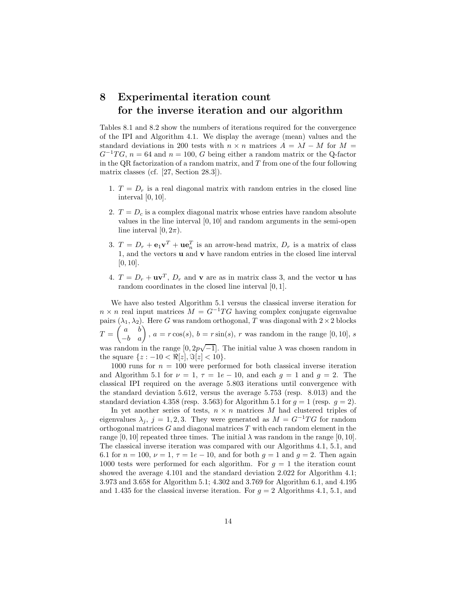## **8 Experimental iteration count for the inverse iteration and our algorithm**

Tables 8.1 and 8.2 show the numbers of iterations required for the convergence of the IPI and Algorithm 4.1. We display the average (mean) values and the standard deviations in 200 tests with  $n \times n$  matrices  $A = \lambda I - M$  for  $M =$  $G^{-1}TG$ ,  $n = 64$  and  $n = 100$ , G being either a random matrix or the Q-factor in the QR factorization of a random matrix, and  $T$  from one of the four following matrix classes (cf. [27, Section 28.3]).

- 1.  $T = D<sub>r</sub>$  is a real diagonal matrix with random entries in the closed line interval  $[0, 10]$ .
- 2.  $T = D<sub>c</sub>$  is a complex diagonal matrix whose entries have random absolute values in the line interval [0, 10] and random arguments in the semi-open line interval  $[0, 2\pi)$ .
- 3.  $T = D_r + \mathbf{e}_1 \mathbf{v}^T + \mathbf{u} \mathbf{e}_n^T$  is an arrow-head matrix,  $D_r$  is a matrix of class 1, and the vectors **u** and **v** have random entries in the closed line interval  $[0, 10]$ .
- 4.  $T = D_r + \mathbf{u}\mathbf{v}^T$ ,  $D_r$  and **v** are as in matrix class 3, and the vector **u** has random coordinates in the closed line interval [0, 1].

We have also tested Algorithm 5.1 versus the classical inverse iteration for  $n \times n$  real input matrices  $M = G^{-1}TG$  having complex conjugate eigenvalue pairs  $(\lambda_1, \lambda_2)$ . Here G was random orthogonal, T was diagonal with  $2 \times 2$  blocks  $T = \begin{pmatrix} a & b \\ -b & a \end{pmatrix}$ ,  $a = r \cos(s)$ ,  $b = r \sin(s)$ , r was random in the range [0, 10], s was random in the range  $[0, 2p\sqrt{-1}]$ . The initial value  $\lambda$  was chosen random in √ the square  $\{z: -10 < \Re[z], \Im[z] < 10\}.$ 

1000 runs for  $n = 100$  were performed for both classical inverse iteration and Algorithm 5.1 for  $\nu = 1$ ,  $\tau = 1e - 10$ , and each  $q = 1$  and  $q = 2$ . The classical IPI required on the average 5.803 iterations until convergence with the standard deviation 5.612, versus the average 5.753 (resp. 8.013) and the standard deviation 4.358 (resp. 3.563) for Algorithm 5.1 for  $g = 1$  (resp.  $g = 2$ ).

In yet another series of tests,  $n \times n$  matrices M had clustered triples of eigenvalues  $\lambda_j$ , j = 1, 2, 3. They were generated as  $M = G^{-1}TG$  for random orthogonal matrices  $G$  and diagonal matrices  $T$  with each random element in the range [0, 10] repeated three times. The initial  $\lambda$  was random in the range [0, 10]. The classical inverse iteration was compared with our Algorithms 4.1, 5.1, and 6.1 for  $n = 100$ ,  $\nu = 1$ ,  $\tau = 1e - 10$ , and for both  $g = 1$  and  $g = 2$ . Then again 1000 tests were performed for each algorithm. For  $g = 1$  the iteration count showed the average 4.101 and the standard deviation 2.022 for Algorithm 4.1; 3.973 and 3.658 for Algorithm 5.1; 4.302 and 3.769 for Algorithm 6.1, and 4.195 and 1.435 for the classical inverse iteration. For  $g = 2$  Algorithms 4.1, 5.1, and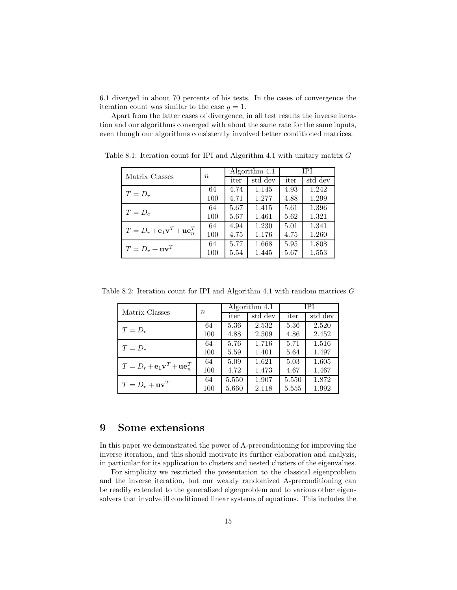6.1 diverged in about 70 percents of his tests. In the cases of convergence the iteration count was similar to the case  $g = 1$ .

Apart from the latter cases of divergence, in all test results the inverse iteration and our algorithms converged with about the same rate for the same inputs, even though our algorithms consistently involved better conditioned matrices.

| Matrix Classes                                                    | $\, n$ | Algorithm 4.1 |         | <b>IPI</b> |         |
|-------------------------------------------------------------------|--------|---------------|---------|------------|---------|
|                                                                   |        | iter          | std dev | iter       | std dev |
| $T=D_r$                                                           | 64     | 4.74          | 1.145   | 4.93       | 1.242   |
|                                                                   | 100    | 4.71          | 1.277   | 4.88       | 1.299   |
| $T=D_c$                                                           | 64     | 5.67          | 1.415   | 5.61       | 1.396   |
|                                                                   | 100    | 5.67          | 1.461   | 5.62       | 1.321   |
| $T = D_r + \mathbf{e}_1 \mathbf{v}^T + \mathbf{u} \mathbf{e}_n^T$ | 64     | 4.94          | 1.230   | 5.01       | 1.341   |
|                                                                   | 100    | 4.75          | 1.176   | 4.75       | 1.260   |
| $T = D_r + \mathbf{u}\mathbf{v}^T$                                | 64     | 5.77          | 1.668   | 5.95       | 1.808   |
|                                                                   | 100    | 5.54          | 1.445   | 5.67       | 1.553   |

Table 8.1: Iteration count for IPI and Algorithm 4.1 with unitary matrix  $G$ 

Table 8.2: Iteration count for IPI and Algorithm 4.1 with random matrices G

| Matrix Classes                                                    | $\boldsymbol{n}$ | Algorithm 4.1 |         | IPI   |         |
|-------------------------------------------------------------------|------------------|---------------|---------|-------|---------|
|                                                                   |                  | iter          | std dev | iter  | std dev |
| $T=D_r$                                                           | 64               | 5.36          | 2.532   | 5.36  | 2.520   |
|                                                                   | 100              | 4.88          | 2.509   | 4.86  | 2.452   |
| $T=D_c$                                                           | 64               | 5.76          | 1.716   | 5.71  | 1.516   |
|                                                                   | 100              | 5.59          | 1.401   | 5.64  | 1.497   |
| $T = D_r + \mathbf{e}_1 \mathbf{v}^T + \mathbf{u} \mathbf{e}_n^T$ | 64               | 5.09          | 1.621   | 5.03  | 1.605   |
|                                                                   | 100              | 4.72          | 1.473   | 4.67  | 1.467   |
| $T = D_r + \mathbf{u}\mathbf{v}^T$                                | 64               | 5.550         | 1.907   | 5.550 | 1.872   |
|                                                                   | 100              | 5.660         | 2.118   | 5.555 | 1.992   |

## **9 Some extensions**

In this paper we demonstrated the power of A-preconditioning for improving the inverse iteration, and this should motivate its further elaboration and analyzis, in particular for its application to clusters and nested clusters of the eigenvalues.

For simplicity we restricted the presentation to the classical eigenproblem and the inverse iteration, but our weakly randomized A-preconditioning can be readily extended to the generalized eigenproblem and to various other eigensolvers that involve ill conditioned linear systems of equations. This includes the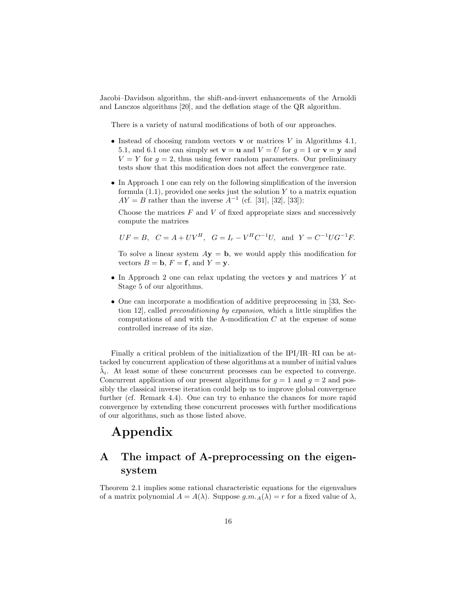Jacobi–Davidson algorithm, the shift-and-invert enhancements of the Arnoldi and Lanczos algorithms [20], and the deflation stage of the QR algorithm.

There is a variety of natural modifications of both of our approaches.

- Instead of choosing random vectors **v** or matrices V in Algorithms 4.1, 5.1, and 6.1 one can simply set  $\mathbf{v} = \mathbf{u}$  and  $V = U$  for  $g = 1$  or  $\mathbf{v} = \mathbf{y}$  and  $V = Y$  for  $g = 2$ , thus using fewer random parameters. Our preliminary tests show that this modification does not affect the convergence rate.
- In Approach 1 one can rely on the following simplification of the inversion formula  $(1.1)$ , provided one seeks just the solution Y to a matrix equation  $AY = B$  rather than the inverse  $A^{-1}$  (cf. [31], [32], [33]):

Choose the matrices  $F$  and  $V$  of fixed appropriate sizes and successively compute the matrices

$$
UF = B
$$
,  $C = A + UV^H$ ,  $G = I_r - V^H C^{-1} U$ , and  $Y = C^{-1} U G^{-1} F$ .

To solve a linear system  $A$ **y** = **b**, we would apply this modification for vectors  $B = \mathbf{b}$ ,  $F = \mathbf{f}$ , and  $Y = \mathbf{y}$ .

- In Approach 2 one can relax updating the vectors **y** and matrices Y at Stage 5 of our algorithms.
- One can incorporate a modification of additive preprocessing in [33, Section 12], called *preconditioning by expansion*, which a little simplifies the computations of and with the A-modification  $C$  at the expense of some controlled increase of its size.

Finally a critical problem of the initialization of the IPI/IR–RI can be attacked by concurrent application of these algorithms at a number of initial values  $\lambda_i$ . At least some of these concurrent processes can be expected to converge. Concurrent application of our present algorithms for  $g = 1$  and  $g = 2$  and possibly the classical inverse iteration could help us to improve global convergence further (cf. Remark 4.4). One can try to enhance the chances for more rapid convergence by extending these concurrent processes with further modifications of our algorithms, such as those listed above.

# **Appendix**

## **A The impact of A-preprocessing on the eigensystem**

Theorem 2.1 implies some rational characteristic equations for the eigenvalues of a matrix polynomial  $A = A(\lambda)$ . Suppose  $g.m.A(\lambda) = r$  for a fixed value of  $\lambda$ ,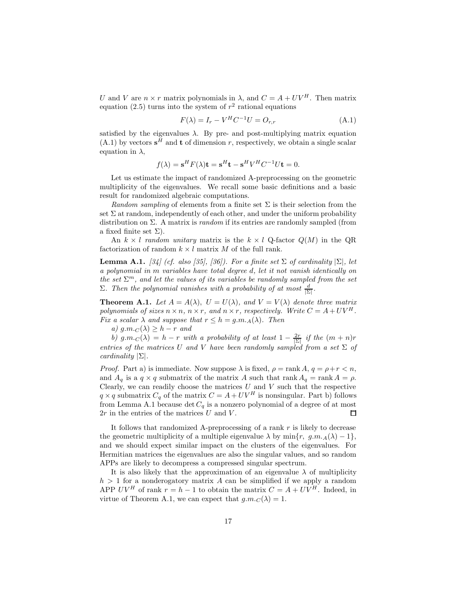U and V are  $n \times r$  matrix polynomials in  $\lambda$ , and  $C = A + UV^H$ . Then matrix equation (2.5) turns into the system of  $r^2$  rational equations

$$
F(\lambda) = I_r - V^H C^{-1} U = O_{r,r}
$$
\n(A.1)

satisfied by the eigenvalues  $\lambda$ . By pre- and post-multiplying matrix equation  $(A.1)$  by vectors  $s^H$  and **t** of dimension r, respectively, we obtain a single scalar equation in  $\lambda$ ,

$$
f(\lambda) = \mathbf{s}^H F(\lambda)\mathbf{t} = \mathbf{s}^H \mathbf{t} - \mathbf{s}^H V^H C^{-1} U \mathbf{t} = 0.
$$

Let us estimate the impact of randomized A-preprocessing on the geometric multiplicity of the eigenvalues. We recall some basic definitions and a basic result for randomized algebraic computations.

*Random sampling* of elements from a finite set  $\Sigma$  is their selection from the set  $\Sigma$  at random, independently of each other, and under the uniform probability distribution on Σ. A matrix is *random* if its entries are randomly sampled (from a fixed finite set  $\Sigma$ ).

An  $k \times l$  *random unitary* matrix is the  $k \times l$  Q-factor  $Q(M)$  in the QR factorization of random  $k \times l$  matrix M of the full rank.

**Lemma A.1.** *[34] (cf. also [35], [36]). For a finite set*  $\Sigma$  *of cardinality*  $|\Sigma|$ *, let a polynomial in* m *variables have total degree* d*, let it not vanish identically on the set*  $\Sigma^m$ , and let the values of its variables be randomly sampled from the set  $\Sigma$ *. Then the polynomial vanishes with a probability of at most*  $\frac{d}{|\Sigma|}$ *.* 

**Theorem A.1.** Let  $A = A(\lambda)$ ,  $U = U(\lambda)$ , and  $V = V(\lambda)$  denote three matrix *polynomials of sizes*  $n \times n$ ,  $n \times r$ , and  $n \times r$ , respectively. Write  $C = A + UV^H$ . *Fix a scalar*  $\lambda$  *and suppose that*  $r \leq h = g.m.A(\lambda)$ *. Then* 

*a)*  $g.m.c(\lambda) \geq h-r$  *and* 

*b)*  $g.m.c(\lambda) = h - r$  *with a probability of at least*  $1 - \frac{2r}{|\Sigma|}$  *if the*  $(m + n)r$ *entries of the matrices* U *and* V *have been randomly sampled from a set*  $\Sigma$  *of cardinality* |Σ|*.*

*Proof.* Part a) is immediate. Now suppose  $\lambda$  is fixed,  $\rho = \text{rank } A, q = \rho + r < n$ , and  $A_q$  is a  $q \times q$  submatrix of the matrix A such that rank  $A_q = \text{rank } A = \rho$ . Clearly, we can readily choose the matrices  $U$  and  $V$  such that the respective  $q \times q$  submatrix  $C_q$  of the matrix  $C = A + UV^H$  is nonsingular. Part b) follows from Lemma A.1 because  $\det C_q$  is a nonzero polynomial of a degree of at most  $2r$  in the entries of the matrices U and V.  $\Box$ 

It follows that randomized A-preprocessing of a rank  $r$  is likely to decrease the geometric multiplicity of a multiple eigenvalue  $\lambda$  by min{r, g.m. $_A(\lambda) - 1$ }, and we should expect similar impact on the clusters of the eigenvalues. For Hermitian matrices the eigenvalues are also the singular values, and so random APPs are likely to decompress a compressed singular spectrum.

It is also likely that the approximation of an eigenvalue  $\lambda$  of multiplicity  $h > 1$  for a nonderogatory matrix A can be simplified if we apply a random APP  $UV^H$  of rank  $r = h - 1$  to obtain the matrix  $C = A + UV^H$ . Indeed, in virtue of Theorem A.1, we can expect that  $g.m.C(\lambda) = 1$ .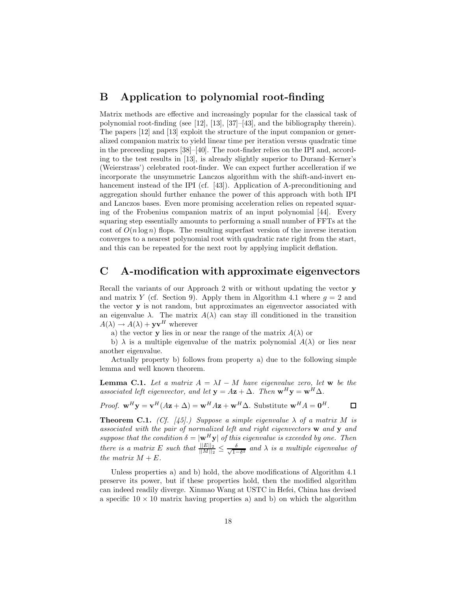### **B Application to polynomial root-finding**

Matrix methods are effective and increasingly popular for the classical task of polynomial root-finding (see [12], [13], [37]–[43], and the bibliography therein). The papers [12] and [13] exploit the structure of the input companion or generalized companion matrix to yield linear time per iteration versus quadratic time in the preceeding papers [38]–[40]. The root-finder relies on the IPI and, according to the test results in [13], is already slightly superior to Durand–Kerner's (Weierstrass') celebrated root-finder. We can expect further accelleration if we incorporate the unsymmetric Lanczos algorithm with the shift-and-invert enhancement instead of the IPI (cf. [43]). Application of A-preconditioning and aggregation should further enhance the power of this approach with both IPI and Lanczos bases. Even more promising acceleration relies on repeated squaring of the Frobenius companion matrix of an input polynomial [44]. Every squaring step essentially amounts to performing a small number of FFTs at the cost of  $O(n \log n)$  flops. The resulting superfast version of the inverse iteration converges to a nearest polynomial root with quadratic rate right from the start, and this can be repeated for the next root by applying implicit deflation.

## **C A-modification with approximate eigenvectors**

Recall the variants of our Approach 2 with or without updating the vector **y** and matrix Y (cf. Section 9). Apply them in Algorithm 4.1 where  $g = 2$  and the vector **y** is not random, but approximates an eigenvector associated with an eigenvalue  $\lambda$ . The matrix  $A(\lambda)$  can stay ill conditioned in the transition  $A(\lambda) \rightarrow A(\lambda) + \mathbf{y}\mathbf{v}^H$  wherever

a) the vector **y** lies in or near the range of the matrix  $A(\lambda)$  or

b)  $\lambda$  is a multiple eigenvalue of the matrix polynomial  $A(\lambda)$  or lies near another eigenvalue.

Actually property b) follows from property a) due to the following simple lemma and well known theorem.

**Lemma C.1.** *Let a matrix*  $A = \lambda I - M$  *have eigenvalue zero, let* **w** *be the associated left eigenvector, and let*  $\mathbf{y} = A\mathbf{z} + \Delta$ *. Then*  $\mathbf{w}^H \mathbf{y} = \mathbf{w}^H \Delta$ *.* 

*Proof.*  $\mathbf{w}^H \mathbf{y} = \mathbf{v}^H (A\mathbf{z} + \Delta) = \mathbf{w}^H A\mathbf{z} + \mathbf{w}^H \Delta$ . Substitute  $\mathbf{w}^H A = \mathbf{0}^H$ .  $\Box$ 

**Theorem C.1.** *(Cf.* [45].) Suppose a simple eigenvalue  $\lambda$  of a matrix M is *associated with the pair of normalized left and right eigenvectors* **w** *and* **y** *and suppose that the condition*  $\delta = |\mathbf{w}^H \mathbf{y}|$  *of this eigenvalue is exceeded by one. Then there is a matrix* E *such that*  $\frac{||E||_2}{||M||_2} \le \frac{\delta}{\sqrt{1-\delta^2}}$  *and*  $\lambda$  *is a multiple eigenvalue of the matrix*  $M + E$ *.* 

Unless properties a) and b) hold, the above modifications of Algorithm 4.1 preserve its power, but if these properties hold, then the modified algorithm can indeed readily diverge. Xinmao Wang at USTC in Hefei, China has devised a specific  $10 \times 10$  matrix having properties a) and b) on which the algorithm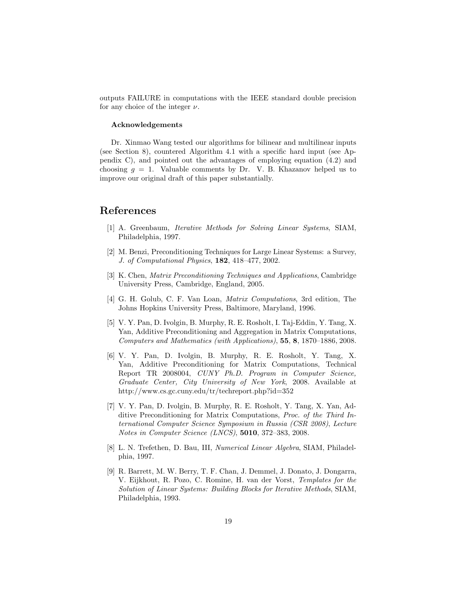outputs FAILURE in computations with the IEEE standard double precision for any choice of the integer  $\nu$ .

#### **Acknowledgements**

Dr. Xinmao Wang tested our algorithms for bilinear and multilinear inputs (see Section 8), countered Algorithm 4.1 with a specific hard input (see Appendix C), and pointed out the advantages of employing equation (4.2) and choosing  $q = 1$ . Valuable comments by Dr. V. B. Khazanov helped us to improve our original draft of this paper substantially.

### **References**

- [1] A. Greenbaum, *Iterative Methods for Solving Linear Systems*, SIAM, Philadelphia, 1997.
- [2] M. Benzi, Preconditioning Techniques for Large Linear Systems: a Survey, *J. of Computational Physics*, **182**, 418–477, 2002.
- [3] K. Chen, *Matrix Preconditioning Techniques and Applications*, Cambridge University Press, Cambridge, England, 2005.
- [4] G. H. Golub, C. F. Van Loan, *Matrix Computations*, 3rd edition, The Johns Hopkins University Press, Baltimore, Maryland, 1996.
- [5] V. Y. Pan, D. Ivolgin, B. Murphy, R. E. Rosholt, I. Taj-Eddin, Y. Tang, X. Yan, Additive Preconditioning and Aggregation in Matrix Computations, *Computers and Mathematics (with Applications)*, **55**, **8**, 1870–1886, 2008.
- [6] V. Y. Pan, D. Ivolgin, B. Murphy, R. E. Rosholt, Y. Tang, X. Yan, Additive Preconditioning for Matrix Computations, Technical Report TR 2008004, *CUNY Ph.D. Program in Computer Science, Graduate Center, City University of New York*, 2008. Available at http://www.cs.gc.cuny.edu/tr/techreport.php?id=352
- [7] V. Y. Pan, D. Ivolgin, B. Murphy, R. E. Rosholt, Y. Tang, X. Yan, Additive Preconditioning for Matrix Computations, *Proc. of the Third International Computer Science Symposium in Russia (CSR 2008)*, *Lecture Notes in Computer Science (LNCS)*, **5010**, 372–383, 2008.
- [8] L. N. Trefethen, D. Bau, III, *Numerical Linear Algebra*, SIAM, Philadelphia, 1997.
- [9] R. Barrett, M. W. Berry, T. F. Chan, J. Demmel, J. Donato, J. Dongarra, V. Eijkhout, R. Pozo, C. Romine, H. van der Vorst, *Templates for the Solution of Linear Systems: Building Blocks for Iterative Methods*, SIAM, Philadelphia, 1993.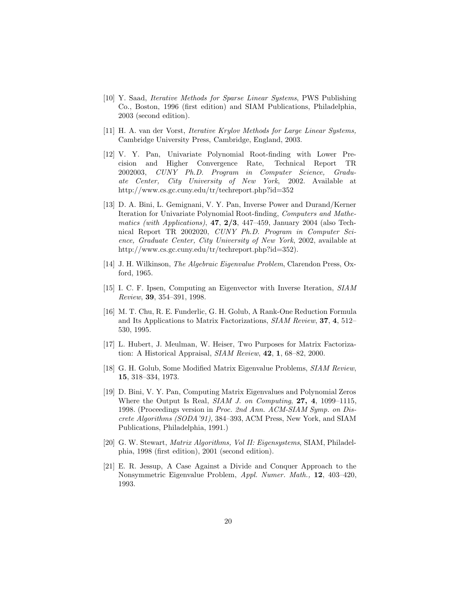- [10] Y. Saad, *Iterative Methods for Sparse Linear Systems*, PWS Publishing Co., Boston, 1996 (first edition) and SIAM Publications, Philadelphia, 2003 (second edition).
- [11] H. A. van der Vorst, *Iterative Krylov Methods for Large Linear Systems,* Cambridge University Press, Cambridge, England, 2003.
- [12] V. Y. Pan, Univariate Polynomial Root-finding with Lower Precision and Higher Convergence Rate, Technical Report TR 2002003, *CUNY Ph.D. Program in Computer Science, Graduate Center, City University of New York*, 2002. Available at http://www.cs.gc.cuny.edu/tr/techreport.php?id=352
- [13] D. A. Bini, L. Gemignani, V. Y. Pan, Inverse Power and Durand/Kerner Iteration for Univariate Polynomial Root-finding, *Computers and Mathematics (with Applications)*, **47**, **2/3**, 447–459, January 2004 (also Technical Report TR 2002020, *CUNY Ph.D. Program in Computer Science, Graduate Center, City University of New York*, 2002, available at http://www.cs.gc.cuny.edu/tr/techreport.php?id=352).
- [14] J. H. Wilkinson, *The Algebraic Eigenvalue Problem*, Clarendon Press, Oxford, 1965.
- [15] I. C. F. Ipsen, Computing an Eigenvector with Inverse Iteration, *SIAM Review*, **39**, 354–391, 1998.
- [16] M. T. Chu, R. E. Funderlic, G. H. Golub, A Rank-One Reduction Formula and Its Applications to Matrix Factorizations, *SIAM Review*, **37**, **4**, 512– 530, 1995.
- [17] L. Hubert, J. Meulman, W. Heiser, Two Purposes for Matrix Factorization: A Historical Appraisal, *SIAM Review*, **42**, **1**, 68–82, 2000.
- [18] G. H. Golub, Some Modified Matrix Eigenvalue Problems, *SIAM Review*, **15**, 318–334, 1973.
- [19] D. Bini, V. Y. Pan, Computing Matrix Eigenvalues and Polynomial Zeros Where the Output Is Real, *SIAM J. on Computing*, **27, 4**, 1099–1115, 1998. (Proceedings version in *Proc. 2nd Ann. ACM-SIAM Symp. on Discrete Algorithms (SODA'91)*, 384–393, ACM Press, New York, and SIAM Publications, Philadelphia, 1991.)
- [20] G. W. Stewart, *Matrix Algorithms, Vol II: Eigensystems*, SIAM, Philadelphia, 1998 (first edition), 2001 (second edition).
- [21] E. R. Jessup, A Case Against a Divide and Conquer Approach to the Nonsymmetric Eigenvalue Problem, *Appl. Numer. Math.,* **12**, 403–420, 1993.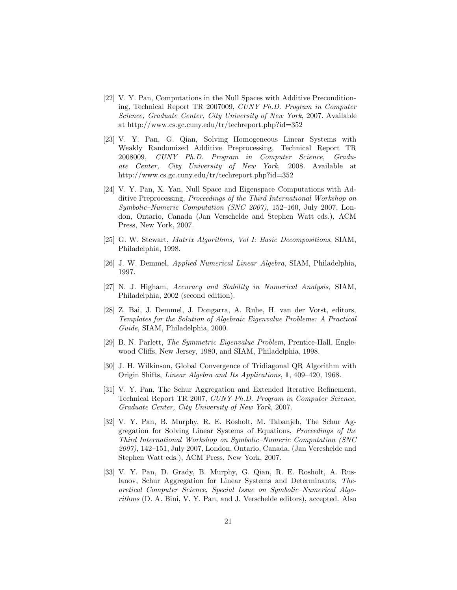- [22] V. Y. Pan, Computations in the Null Spaces with Additive Preconditioning, Technical Report TR 2007009, *CUNY Ph.D. Program in Computer Science, Graduate Center, City University of New York*, 2007. Available at http://www.cs.gc.cuny.edu/tr/techreport.php?id=352
- [23] V. Y. Pan, G. Qian, Solving Homogeneous Linear Systems with Weakly Randomized Additive Preprocessing, Technical Report TR 2008009, *CUNY Ph.D. Program in Computer Science, Graduate Center, City University of New York*, 2008. Available at http://www.cs.gc.cuny.edu/tr/techreport.php?id=352
- [24] V. Y. Pan, X. Yan, Null Space and Eigenspace Computations with Additive Preprocessing, *Proceedings of the Third International Workshop on Symbolic–Numeric Computation (SNC 2007)*, 152–160, July 2007, London, Ontario, Canada (Jan Verschelde and Stephen Watt eds.), ACM Press, New York, 2007.
- [25] G. W. Stewart, *Matrix Algorithms, Vol I: Basic Decompositions*, SIAM, Philadelphia, 1998.
- [26] J. W. Demmel, *Applied Numerical Linear Algebra*, SIAM, Philadelphia, 1997.
- [27] N. J. Higham, *Accuracy and Stability in Numerical Analysis*, SIAM, Philadelphia, 2002 (second edition).
- [28] Z. Bai, J. Demmel, J. Dongarra, A. Ruhe, H. van der Vorst, editors, *Templates for the Solution of Algebraic Eigenvalue Problems: A Practical Guide*, SIAM, Philadelphia, 2000.
- [29] B. N. Parlett, *The Symmetric Eigenvalue Problem*, Prentice-Hall, Englewood Cliffs, New Jersey, 1980, and SIAM, Philadelphia, 1998.
- [30] J. H. Wilkinson, Global Convergence of Tridiagonal QR Algorithm with Origin Shifts, *Linear Algebra and Its Applications*, **1**, 409–420, 1968.
- [31] V. Y. Pan, The Schur Aggregation and Extended Iterative Refinement, Technical Report TR 2007, *CUNY Ph.D. Program in Computer Science, Graduate Center, City University of New York*, 2007.
- [32] V. Y. Pan, B. Murphy, R. E. Rosholt, M. Tabanjeh, The Schur Aggregation for Solving Linear Systems of Equations, *Proceedings of the Third International Workshop on Symbolic–Numeric Computation (SNC 2007)*, 142–151, July 2007, London, Ontario, Canada, (Jan Vercshelde and Stephen Watt eds.), ACM Press, New York, 2007.
- [33] V. Y. Pan, D. Grady, B. Murphy, G. Qian, R. E. Rosholt, A. Ruslanov, Schur Aggregation for Linear Systems and Determinants, *Theoretical Computer Science*, *Special Issue on Symbolic–Numerical Algorithms* (D. A. Bini, V. Y. Pan, and J. Verschelde editors), accepted. Also